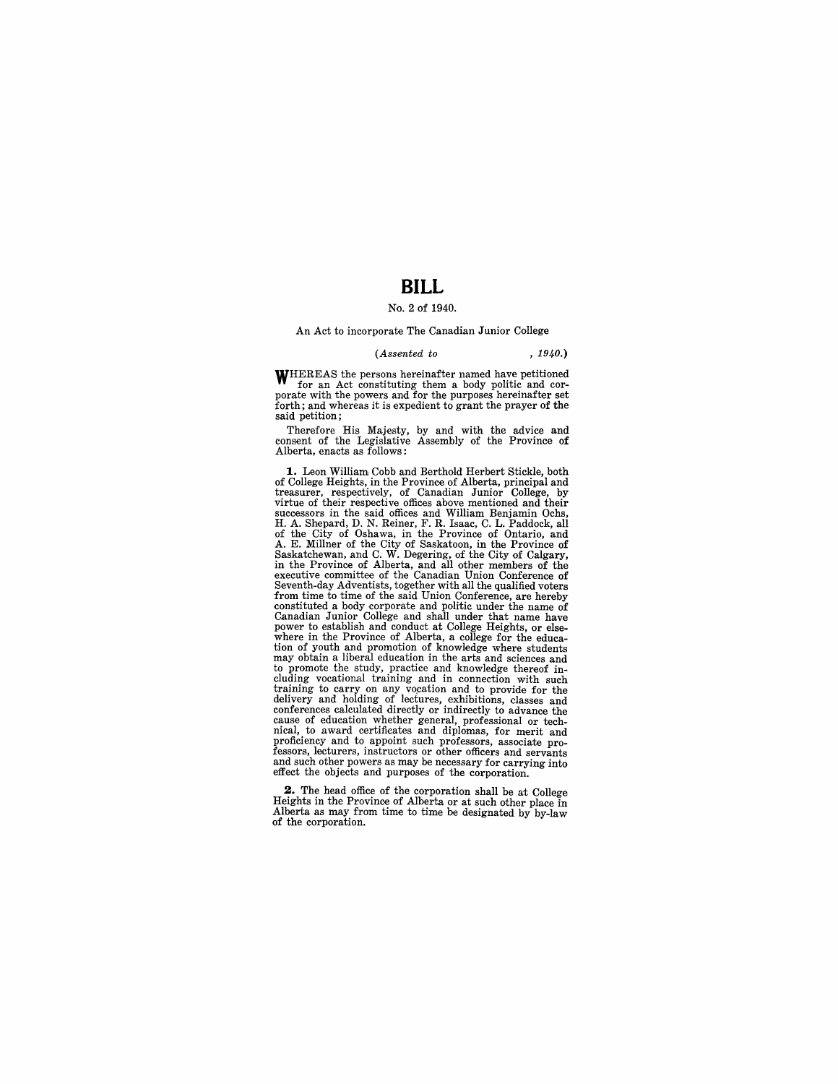## **BILL**

### No.2 of 1940.

#### An Act to incorporate The Canadian Junior College

#### *(Assented to , 1940.)*

WHEREAS the persons hereinafter named have petitioned for an Act constituting them a body politic and cor-<br>porate with the powers and for the purposes hereinafter set forth; and whereas it is expedient to grant the prayer of the said petition;

Therefore His Majesty, by and with the advice and consent of the Legislative Assembly of the Province of Alberta, enacts as follows:

**1.** Leon William Cobb and Berthold Herbert Stickle, both of College Heights, in the Province of Alberta, principal and<br>treasurer, respectively, of Canadian Junior College, by<br>virtue of their respective offices above mentioned and their<br>successors in the said offices and William H. A. Shepard, D. N. Reiner, F. R. Isaac, C. L. Paddock, all<br>of the City of Oshawa, in the Province of Ontario, and<br>A. E. Millner of the City of Saskatoon, in the Province of<br>Saskatehewan, and C. W. Degering, of the City o Seventh-day Adventists, together with all the qualified voters from time to time of the said Union Conference, are hereby constituted a body corporate and politic under the name of Canadian Junior College and shall under that name have power to establish and conduct at College Heights, or elsewhere in the Province of Alberta, a college for the education of youth and promotion of knowledge where students may obtain a liberal education in the arts and sciences and to promote the study, practice and knowledge thereof including vocational training and in connection with such training to carry on any vocation and to provide for the delivery and holding of lectures, exhibitions, classes and conferences calculated directly or indirectly to advance the cause of education whether general, professio nical, to award certificates and diplomas, for merit and proficiency and to appoint such professors, associate professors, lecturers, instructors or other officers and servants and such other powers as may be necessary for carrying into effect the objects and purposes of the corporation.

**2.** The head office of the corporation shall be at College Heights in the Province of Alberta or at such other place in Alberta as may from time to time be designated by by-law of the corporation.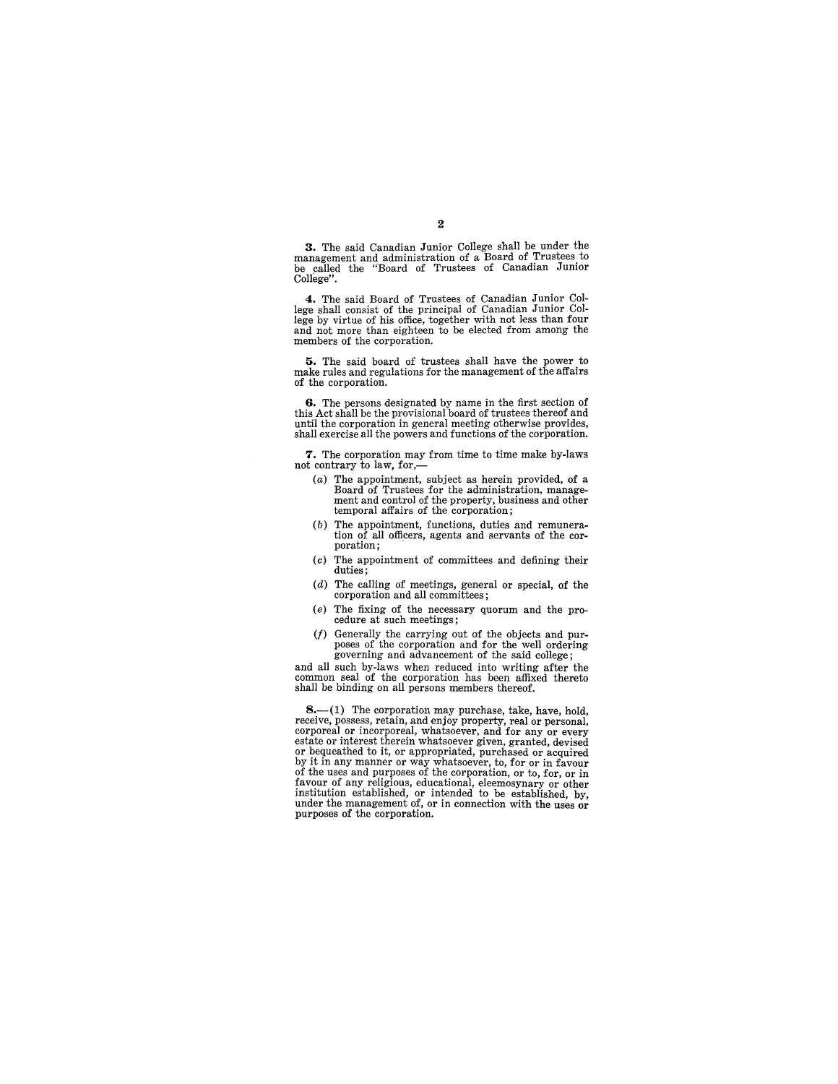3. The said Canadian Junior College shall be under the management and administration of a Board of Trustees to be called the "Board of Trustees of Canadian Junior College".

4. The said Board of Trustees of Canadian Junior Col-lege shall consist of the principal of Canadian Junior College by virtue of his office, together with not less than four and not more than eighteen to be elected from among the members of the corporation.

5. The said board of trustees shall have the power to make rules and regulations for the management of the affairs of the corporation.

6. The persons designated by name in the first section of this Act shall be the provisional board of trustees thereof and until the corporation in general meeting otherwise provides, shall exercise all the powers and functions of the corporation.

7. The corporation may from time to time make by-laws not contrary to law, for,-

- (a) The appointment, subject as herein provided, of a Board of Trustees for the administration, management and control of the property, business and other temporal affairs of the corporation;
- (b) The appointment, functions, duties and remuneration of all officers, agents and servants of the cor- poration;
- (c) The appointment of committees and defining their duties;
- (d) The calling of meetings, general or special, of the corporation and all committees;
- (e) The fixing of the necessary quorum and the procedure at such meetings;
- $(f)$  Generally the carrying out of the objects and purposes of the corporation and for the well ordering governing and advancement of the said college;

and all such by-laws when reduced into writing after the common seal of the corporation has been affixed thereto shall be binding on all persons members thereof.

**8.**—(1) The corporation may purchase, take, have, hold, receive, possess, retain, and enjoy property, real or personal, corporeal or incorporeal, whatsoever, and for any or every<br>estate or interest therein whatsoever given, granted, devised or bequeathed to it, or appropriated, purchased or acquired by it in any manner or way whatsoever, to, for or in favour of the uses and purposes of the corporation, or to, for, or in favour of any religious, educational, eleemosynary or other institution established, or intended to be established, by, under the management of, or in connection with the uses or purposes of the corporation.

#### 2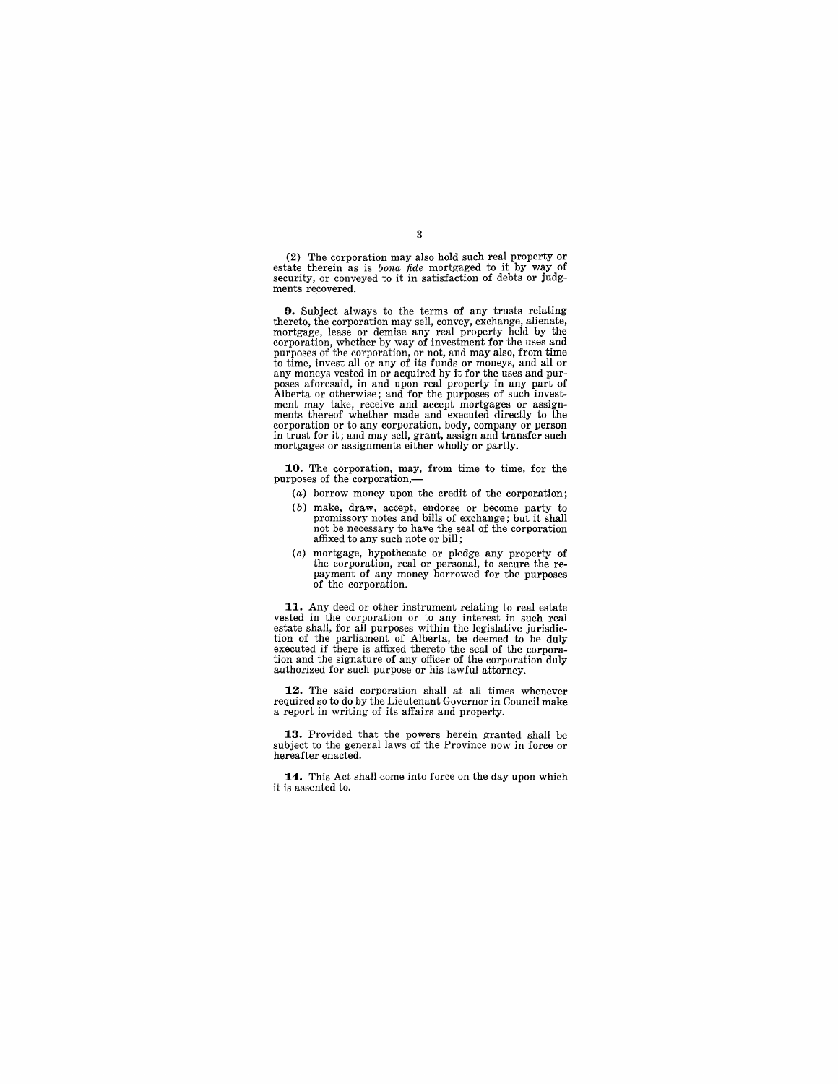(2) The corporation may also hold such real property or estate therein as is *bona fide* mortgaged to it by way of security, or conveyed to it in satisfaction of debts or judgments recovered.

**9.** Subject always to the terms of any trusts relating thereto, the corporation may sell, convey, exchange, alienate, mortgage, lease or demise any real property held by the corporation, whether by way of investment for the uses and<br>purposes of the corporation, or not, and may also, from time<br>to time, invest all or any of its funds or moneys, and all or<br>any moneys vested in or acquired by it f poses aforesaid, in and upon real property in any part of Alberta or otherwise; and for the purposes of such investment may take, receive and accept mortgages or assignments thereof whether made and executed directly to the corporation or to any corporation, body, company or person in trust for it; and may sell, grant, assign and transfer such mortgages or assignments either wholly or partly.

**10.** The corporation, may, from time to time, for the purposes of the corporation,-

- (a) borrow money upon the credit of the corporation;
- (b) make, draw, accept, endorse or become party to promissory notes and bills of exchange; but it shall not be necessary to have the seal of the corporation affixed to any such note or bill ;
- (c) mortgage, hypothecate or pledge any property of the corporation, real or personal, to secure the re- payment of any money borrowed for the purposes of the corporation.

**11.** Any deed or other instrument relating to real estate vested in the corporation or to any interest in such real estate shall, for all purposes within the legislative jurisdiction of the parliament of Alberta, be deemed to be duly executed if there is affixed thereto the seal of the corpora-tion and the signature of any officer of the corporation duly authorized for such purpose or his lawful attorney.

**12.** The said corporation shall at all times whenever required so to do by the Lieutenant Governor in Council make a report in writing of its affairs and property.

**13.** Provided that the powers herein granted shall be subject to the general laws of the Province now in force or hereafter enacted.

**14.** This Act shall come into force on the day upon which it is assented to.

3